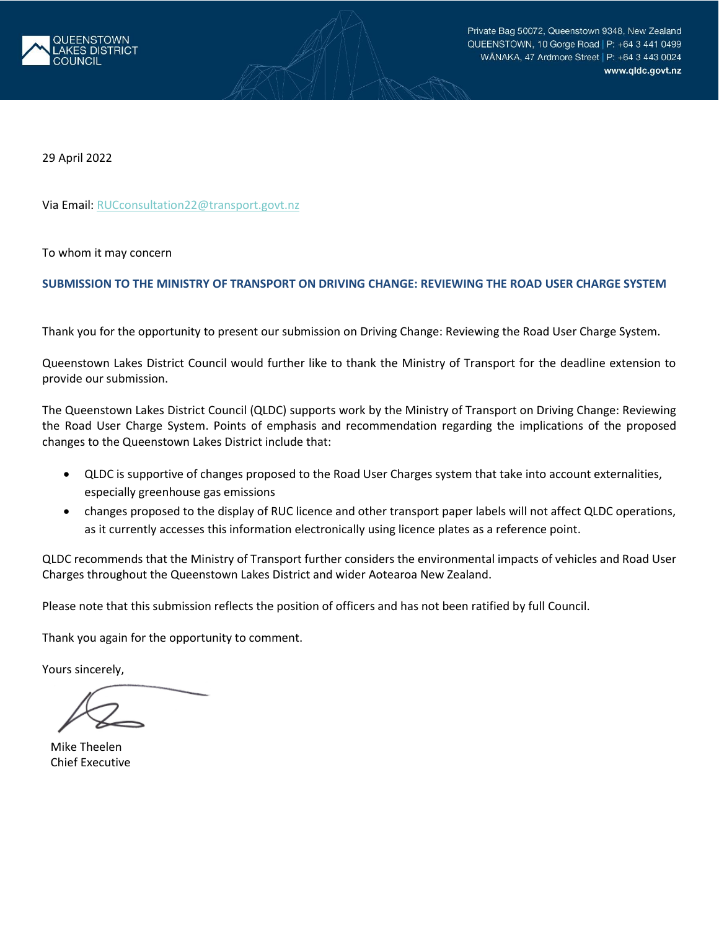

29 April 2022

Via Email: [RUCconsultation22@transport.govt.nz](mailto:RUCconsultation22@transport.govt.nz)

To whom it may concern

### **SUBMISSION TO THE MINISTRY OF TRANSPORT ON DRIVING CHANGE: REVIEWING THE ROAD USER CHARGE SYSTEM**

Thank you for the opportunity to present our submission on Driving Change: Reviewing the Road User Charge System.

Queenstown Lakes District Council would further like to thank the Ministry of Transport for the deadline extension to provide our submission.

The Queenstown Lakes District Council (QLDC) supports work by the Ministry of Transport on Driving Change: Reviewing the Road User Charge System. Points of emphasis and recommendation regarding the implications of the proposed changes to the Queenstown Lakes District include that:

- QLDC is supportive of changes proposed to the Road User Charges system that take into account externalities, especially greenhouse gas emissions
- changes proposed to the display of RUC licence and other transport paper labels will not affect QLDC operations, as it currently accesses this information electronically using licence plates as a reference point.

QLDC recommends that the Ministry of Transport further considers the environmental impacts of vehicles and Road User Charges throughout the Queenstown Lakes District and wider Aotearoa New Zealand.

Please note that this submission reflects the position of officers and has not been ratified by full Council.

Thank you again for the opportunity to comment.

Yours sincerely,

Mike Theelen Chief Executive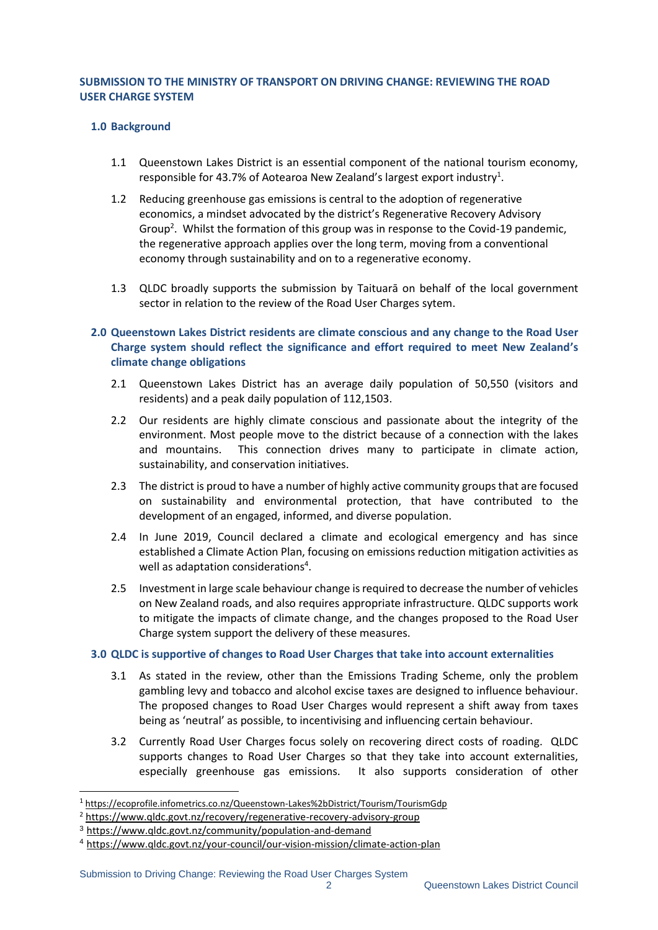# **SUBMISSION TO THE MINISTRY OF TRANSPORT ON DRIVING CHANGE: REVIEWING THE ROAD USER CHARGE SYSTEM**

## **1.0 Background**

- 1.1 Queenstown Lakes District is an essential component of the national tourism economy, responsible for 43.7% of Aotearoa New Zealand's largest export industry<sup>1</sup>.
- 1.2 Reducing greenhouse gas emissions is central to the adoption of regenerative economics, a mindset advocated by the district's Regenerative Recovery Advisory Group<sup>2</sup>. Whilst the formation of this group was in response to the Covid-19 pandemic, the regenerative approach applies over the long term, moving from a conventional economy through sustainability and on to a regenerative economy.
- 1.3 QLDC broadly supports the submission by Taituarā on behalf of the local government sector in relation to the review of the Road User Charges sytem.
- **2.0 Queenstown Lakes District residents are climate conscious and any change to the Road User Charge system should reflect the significance and effort required to meet New Zealand's climate change obligations**
	- 2.1 Queenstown Lakes District has an average daily population of 50,550 (visitors and residents) and a peak daily population of 112,1503.
	- 2.2 Our residents are highly climate conscious and passionate about the integrity of the environment. Most people move to the district because of a connection with the lakes and mountains. This connection drives many to participate in climate action, sustainability, and conservation initiatives.
	- 2.3 The district is proud to have a number of highly active community groups that are focused on sustainability and environmental protection, that have contributed to the development of an engaged, informed, and diverse population.
	- 2.4 In June 2019, Council declared a climate and ecological emergency and has since established a Climate Action Plan, focusing on emissions reduction mitigation activities as well as adaptation considerations<sup>4</sup>.
	- 2.5 Investment in large scale behaviour change is required to decrease the number of vehicles on New Zealand roads, and also requires appropriate infrastructure. QLDC supports work to mitigate the impacts of climate change, and the changes proposed to the Road User Charge system support the delivery of these measures.

## **3.0 QLDC is supportive of changes to Road User Charges that take into account externalities**

- 3.1 As stated in the review, other than the Emissions Trading Scheme, only the problem gambling levy and tobacco and alcohol excise taxes are designed to influence behaviour. The proposed changes to Road User Charges would represent a shift away from taxes being as 'neutral' as possible, to incentivising and influencing certain behaviour.
- 3.2 Currently Road User Charges focus solely on recovering direct costs of roading. QLDC supports changes to Road User Charges so that they take into account externalities, especially greenhouse gas emissions. It also supports consideration of other

<sup>1</sup> <https://ecoprofile.infometrics.co.nz/Queenstown-Lakes%2bDistrict/Tourism/TourismGdp>

<sup>2</sup> <https://www.qldc.govt.nz/recovery/regenerative-recovery-advisory-group>

<sup>3</sup> https://www.qldc.govt.nz/community/population-and-demand

<sup>4</sup> https://www.qldc.govt.nz/your-council/our-vision-mission/climate-action-plan